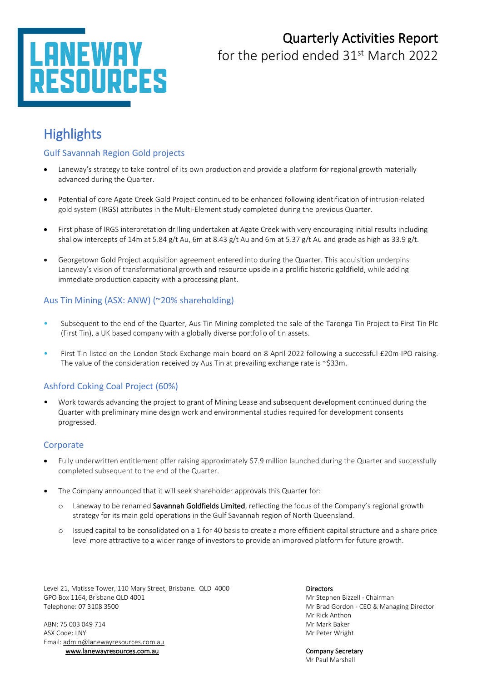# ESOURCES

# Quarterly Activities Report

for the period ended 31<sup>st</sup> March 2022

# **Highlights**

#### Gulf Savannah Region Gold projects

- Laneway's strategy to take control of its own production and provide a platform for regional growth materially advanced during the Quarter.
- Potential of core Agate Creek Gold Project continued to be enhanced following identification of intrusion-related gold system (IRGS) attributes in the Multi-Element study completed during the previous Quarter.
- First phase of IRGS interpretation drilling undertaken at Agate Creek with very encouraging initial results including shallow intercepts of 14m at 5.84 g/t Au, 6m at 8.43 g/t Au and 6m at 5.37 g/t Au and grade as high as 33.9 g/t.
- Georgetown Gold Project acquisition agreement entered into during the Quarter. This acquisition underpins Laneway's vision of transformational growth and resource upside in a prolific historic goldfield, while adding immediate production capacity with a processing plant.

#### Aus Tin Mining (ASX: ANW) (~20% shareholding)

- Subsequent to the end of the Quarter, Aus Tin Mining completed the sale of the Taronga Tin Project to First Tin Plc (First Tin), a UK based company with a globally diverse portfolio of tin assets.
- First Tin listed on the London Stock Exchange main board on 8 April 2022 following a successful £20m IPO raising. The value of the consideration received by Aus Tin at prevailing exchange rate is ~\$33m.

### Ashford Coking Coal Project (60%)

• Work towards advancing the project to grant of Mining Lease and subsequent development continued during the Quarter with preliminary mine design work and environmental studies required for development consents progressed.

#### **Corporate**

- Fully underwritten entitlement offer raising approximately \$7.9 million launched during the Quarter and successfully completed subsequent to the end of the Quarter.
- The Company announced that it will seek shareholder approvals this Quarter for:
	- o Laneway to be renamed Savannah Goldfields Limited, reflecting the focus of the Company's regional growth strategy for its main gold operations in the Gulf Savannah region of North Queensland.
	- o Issued capital to be consolidated on a 1 for 40 basis to create a more efficient capital structure and a share price level more attractive to a wider range of investors to provide an improved platform for future growth.

Level 21, Matisse Tower, 110 Mary Street, Brisbane. QLD 4000 Directors GPO Box 1164, Brisbane QLD 4001 Mr Stephen Bizzell - Chairman Telephone: 07 3108 3500 Mr Brad Gordon - CEO & Managing Director

ABN: 75 003 049 714 Mr Mark Baker ASX Code: LNY Material Contract of the Contract of the Contract of the Contract of the Contract of the Contract of the Contract of the Contract of the Contract of the Contract of the Contract of the Contract of the Contrac Email[: admin@lanewayresources.com.au](mailto:admin@lanewayresources.com.au) [www.lanewayresources.com.au](http://www.lanewayresources.com.au/) Company Secretary

Mr Rick Anthon

Mr Paul Marshall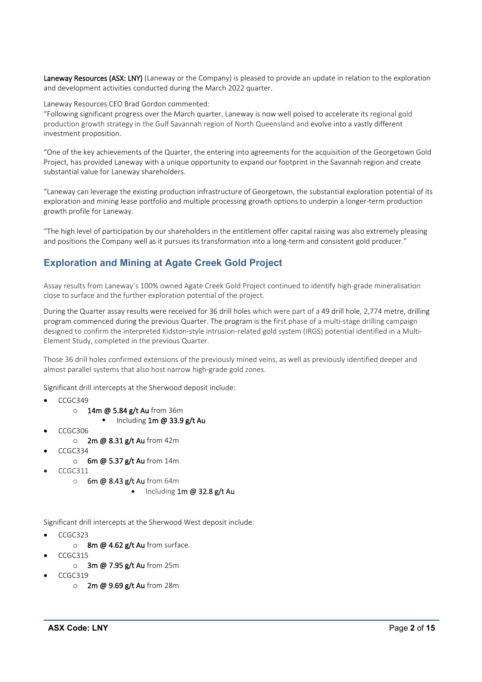Laneway Resources (ASX: LNY) (Laneway or the Company) is pleased to provide an update in relation to the exploration and development activities conducted during the March 2022 quarter.

Laneway Resources CEO Brad Gordon commented:

"Following significant progress over the March quarter, Laneway is now well poised to accelerate its regional gold production growth strategy in the Gulf Savannah region of North Queensland and evolve into a vastly different investment proposition.

"One of the key achievements of the Quarter, the entering into agreements for the acquisition of the Georgetown Gold Project, has provided Laneway with a unique opportunity to expand our footprint in the Savannah region and create substantial value for Laneway shareholders.

"Laneway can leverage the existing production infrastructure of Georgetown, the substantial exploration potential of its exploration and mining lease portfolio and multiple processing growth options to underpin a longer-term production growth profile for Laneway.

"The high level of participation by our shareholders in the entitlement offer capital raising was also extremely pleasing and positions the Company well as it pursues its transformation into a long-term and consistent gold producer."

## **Exploration and Mining at Agate Creek Gold Project**

Assay results from Laneway's 100% owned Agate Creek Gold Project continued to identify high-grade mineralisation close to surface and the further exploration potential of the project.

During the Quarter assay results were received for 36 drill holes which were part of a 49 drill hole, 2,774 metre, drilling program commenced during the previous Quarter. The program is the first phase of a multi-stage drilling campaign designed to confirm the interpreted Kidston-style intrusion-related gold system (IRGS) potential identified in a Multi-Element Study, completed in the previous Quarter.

Those 36 drill holes confirmed extensions of the previously mined veins, as well as previously identified deeper and almost parallel systems that also host narrow high-grade gold zones.

Significant drill intercepts at the Sherwood deposit include:

- CCGC349
	- o 14m @ 5.84 g/t Au from 36m
		- Including 1m @ 33.9 g/t Au
- CCGC306
	- o 2m @ 8.31 g/t Au from 42m
	- CCGC334
		- o 6m @ 5.37 g/t Au from 14m
- CCGC311
	- $\circ$  6m @ 8.43 g/t Au from 64m
		- Including  $1m \omega$  32.8 g/t Au

Significant drill intercepts at the Sherwood West deposit include:

- CCGC323
	- o 8m @ 4.62 g/t Au from surface.
- CCGC315
	- o 3m @ 7.95 g/t Au from 25m
- CCGC319
	- 0 2m @ 9.69 g/t Au from 28m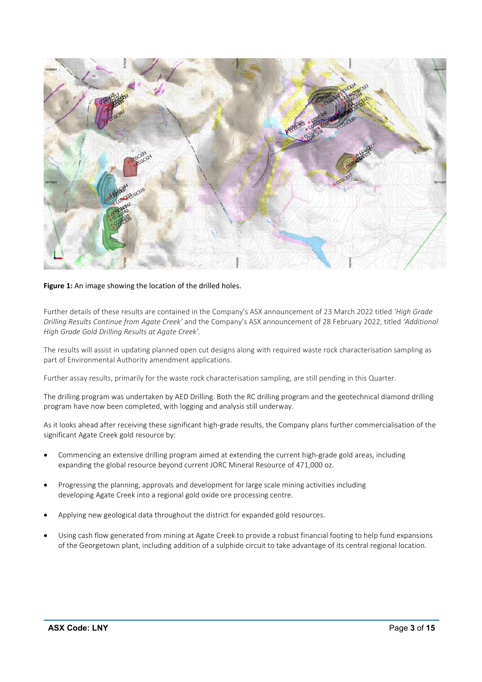

#### **Figure 1:** An image showing the location of the drilled holes.

Further details of these results are contained in the Company's ASX announcement of 23 March 2022 titled *'High Grade Drilling Results Continue from Agate Creek'* and the Company's ASX announcement of 28 February 2022, titled *'Additional High Grade Gold Drilling Results at Agate Creek'*.

The results will assist in updating planned open cut designs along with required waste rock characterisation sampling as part of Environmental Authority amendment applications.

Further assay results, primarily for the waste rock characterisation sampling, are still pending in this Quarter.

The drilling program was undertaken by AED Drilling. Both the RC drilling program and the geotechnical diamond drilling program have now been completed, with logging and analysis still underway.

As it looks ahead after receiving these significant high-grade results, the Company plans further commercialisation of the significant Agate Creek gold resource by:

- Commencing an extensive drilling program aimed at extending the current high-grade gold areas, including expanding the global resource beyond current JORC Mineral Resource of 471,000 oz.
- Progressing the planning, approvals and development for large scale mining activities including developing Agate Creek into a regional gold oxide ore processing centre.
- Applying new geological data throughout the district for expanded gold resources.
- Using cash flow generated from mining at Agate Creek to provide a robust financial footing to help fund expansions of the Georgetown plant, including addition of a sulphide circuit to take advantage of its central regional location.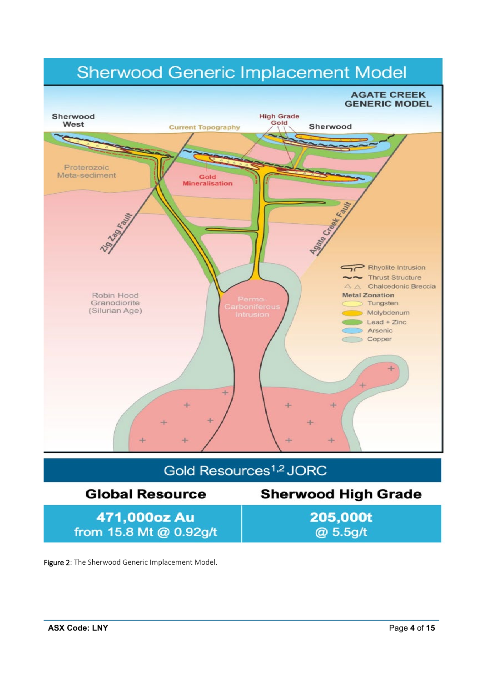

# Gold Resources<sup>1,2</sup> JORC

#### **Sherwood High Grade Global Resource** 205,000t 471,000oz Au from 15.8 Mt @ 0.92g/t @ 5.5g/t

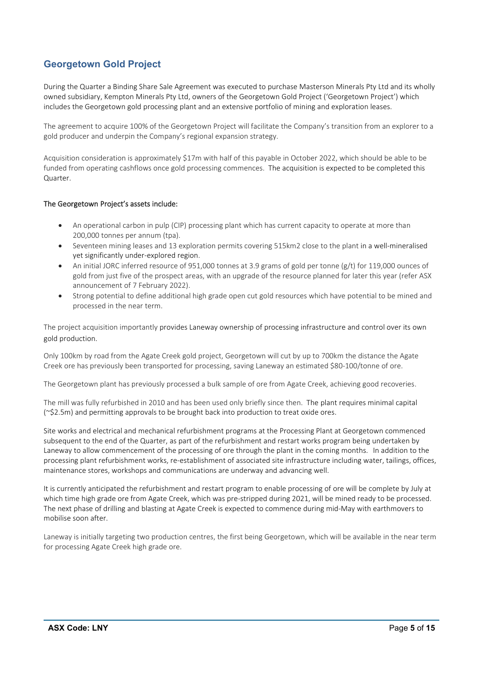## **Georgetown Gold Project**

During the Quarter a Binding Share Sale Agreement was executed to purchase Masterson Minerals Pty Ltd and its wholly owned subsidiary, Kempton Minerals Pty Ltd, owners of the Georgetown Gold Project ('Georgetown Project') which includes the Georgetown gold processing plant and an extensive portfolio of mining and exploration leases.

The agreement to acquire 100% of the Georgetown Project will facilitate the Company's transition from an explorer to a gold producer and underpin the Company's regional expansion strategy.

Acquisition consideration is approximately \$17m with half of this payable in October 2022, which should be able to be funded from operating cashflows once gold processing commences. The acquisition is expected to be completed this Quarter.

#### The Georgetown Project's assets include:

- An operational carbon in pulp (CIP) processing plant which has current capacity to operate at more than 200,000 tonnes per annum (tpa).
- Seventeen mining leases and 13 exploration permits covering 515km2 close to the plant in a well-mineralised yet significantly under-explored region.
- An initial JORC inferred resource of 951,000 tonnes at 3.9 grams of gold per tonne (g/t) for 119,000 ounces of gold from just five of the prospect areas, with an upgrade of the resource planned for later this year (refer ASX announcement of 7 February 2022).
- Strong potential to define additional high grade open cut gold resources which have potential to be mined and processed in the near term.

The project acquisition importantly provides Laneway ownership of processing infrastructure and control over its own gold production.

Only 100km by road from the Agate Creek gold project, Georgetown will cut by up to 700km the distance the Agate Creek ore has previously been transported for processing, saving Laneway an estimated \$80-100/tonne of ore.

The Georgetown plant has previously processed a bulk sample of ore from Agate Creek, achieving good recoveries.

The mill was fully refurbished in 2010 and has been used only briefly since then. The plant requires minimal capital (~\$2.5m) and permitting approvals to be brought back into production to treat oxide ores.

Site works and electrical and mechanical refurbishment programs at the Processing Plant at Georgetown commenced subsequent to the end of the Quarter, as part of the refurbishment and restart works program being undertaken by Laneway to allow commencement of the processing of ore through the plant in the coming months. In addition to the processing plant refurbishment works, re-establishment of associated site infrastructure including water, tailings, offices, maintenance stores, workshops and communications are underway and advancing well.

It is currently anticipated the refurbishment and restart program to enable processing of ore will be complete by July at which time high grade ore from Agate Creek, which was pre-stripped during 2021, will be mined ready to be processed. The next phase of drilling and blasting at Agate Creek is expected to commence during mid-May with earthmovers to mobilise soon after.

Laneway is initially targeting two production centres, the first being Georgetown, which will be available in the near term for processing Agate Creek high grade ore.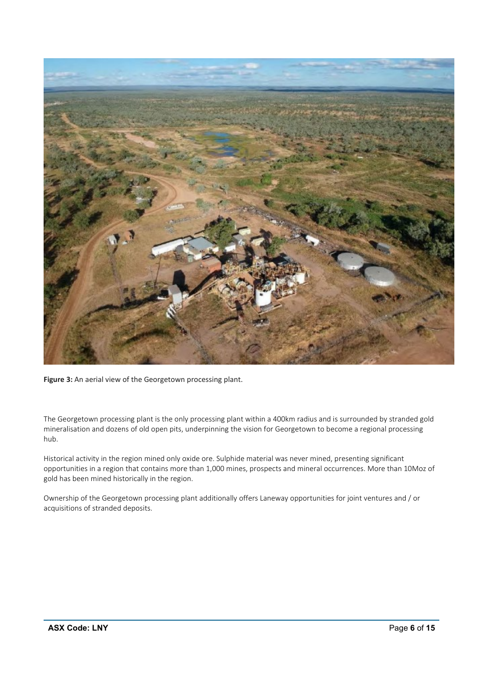

**Figure 3:** An aerial view of the Georgetown processing plant.

The Georgetown processing plant is the only processing plant within a 400km radius and is surrounded by stranded gold mineralisation and dozens of old open pits, underpinning the vision for Georgetown to become a regional processing hub.

Historical activity in the region mined only oxide ore. Sulphide material was never mined, presenting significant opportunities in a region that contains more than 1,000 mines, prospects and mineral occurrences. More than 10Moz of gold has been mined historically in the region.

Ownership of the Georgetown processing plant additionally offers Laneway opportunities for joint ventures and / or acquisitions of stranded deposits.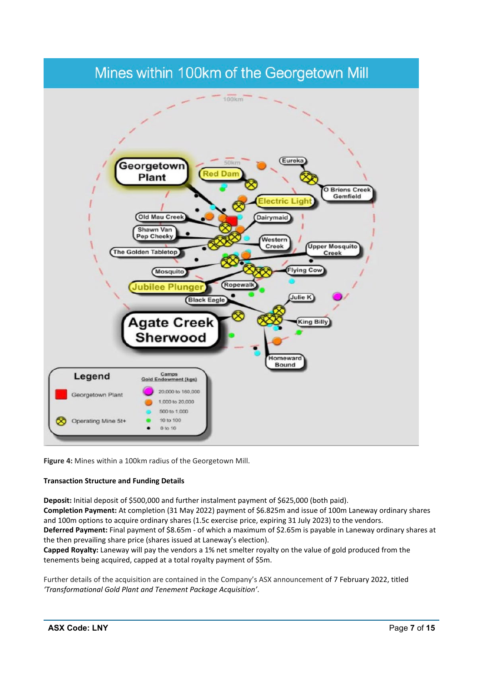## Mines within 100km of the Georgetown Mill



**Figure 4:** Mines within a 100km radius of the Georgetown Mill.

#### **Transaction Structure and Funding Details**

**Deposit:** Initial deposit of \$500,000 and further instalment payment of \$625,000 (both paid).

**Completion Payment:** At completion (31 May 2022) payment of \$6.825m and issue of 100m Laneway ordinary shares and 100m options to acquire ordinary shares (1.5c exercise price, expiring 31 July 2023) to the vendors. **Deferred Payment:** Final payment of \$8.65m - of which a maximum of \$2.65m is payable in Laneway ordinary shares at

the then prevailing share price (shares issued at Laneway's election).

**Capped Royalty:** Laneway will pay the vendors a 1% net smelter royalty on the value of gold produced from the tenements being acquired, capped at a total royalty payment of \$5m.

Further details of the acquisition are contained in the Company's ASX announcement of 7 February 2022, titled *'Transformational Gold Plant and Tenement Package Acquisition'*.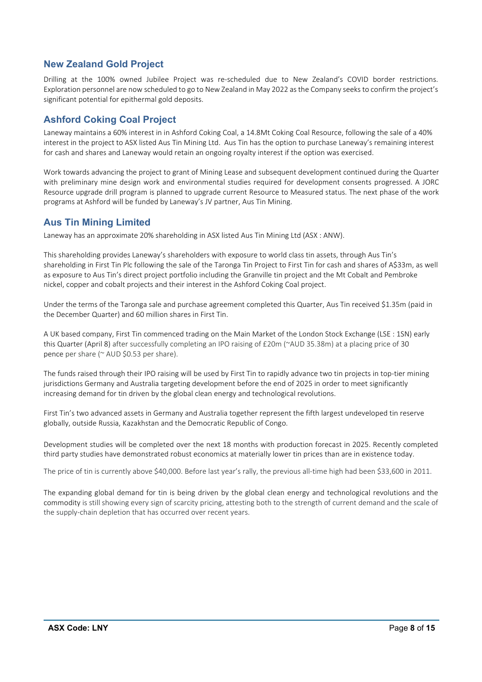## **New Zealand Gold Project**

Drilling at the 100% owned Jubilee Project was re-scheduled due to New Zealand's COVID border restrictions. Exploration personnel are now scheduled to go to New Zealand in May 2022 as the Company seeks to confirm the project's significant potential for epithermal gold deposits.

## **Ashford Coking Coal Project**

Laneway maintains a 60% interest in in Ashford Coking Coal, a 14.8Mt Coking Coal Resource, following the sale of a 40% interest in the project to ASX listed Aus Tin Mining Ltd. Aus Tin has the option to purchase Laneway's remaining interest for cash and shares and Laneway would retain an ongoing royalty interest if the option was exercised.

Work towards advancing the project to grant of Mining Lease and subsequent development continued during the Quarter with preliminary mine design work and environmental studies required for development consents progressed. A JORC Resource upgrade drill program is planned to upgrade current Resource to Measured status. The next phase of the work programs at Ashford will be funded by Laneway's JV partner, Aus Tin Mining.

## **Aus Tin Mining Limited**

Laneway has an approximate 20% shareholding in ASX listed Aus Tin Mining Ltd (ASX : ANW).

This shareholding provides Laneway's shareholders with exposure to world class tin assets, through Aus Tin's shareholding in First Tin Plc following the sale of the Taronga Tin Project to First Tin for cash and shares of A\$33m, as well as exposure to Aus Tin's direct project portfolio including the Granville tin project and the Mt Cobalt and Pembroke nickel, copper and cobalt projects and their interest in the Ashford Coking Coal project.

Under the terms of the Taronga sale and purchase agreement completed this Quarter, Aus Tin received \$1.35m (paid in the December Quarter) and 60 million shares in First Tin.

A UK based company, First Tin commenced trading on the Main Market of the London Stock Exchange (LSE : 1SN) early this Quarter (April 8) after successfully completing an IPO raising of £20m (~AUD 35.38m) at a placing price of 30 pence per share (~ AUD \$0.53 per share).

The funds raised through their IPO raising will be used by First Tin to rapidly advance two tin projects in top-tier mining jurisdictions Germany and Australia targeting development before the end of 2025 in order to meet significantly increasing demand for tin driven by the global clean energy and technological revolutions.

First Tin's two advanced assets in Germany and Australia together represent the fifth largest undeveloped tin reserve globally, outside Russia, Kazakhstan and the Democratic Republic of Congo.

Development studies will be completed over the next 18 months with production forecast in 2025. Recently completed third party studies have demonstrated robust economics at materially lower tin prices than are in existence today.

The price of tin is currently above \$40,000. Before last year's rally, the previous all-time high had been \$33,600 in 2011.

The expanding global demand for tin is being driven by the global clean energy and technological revolutions and the commodity is still showing every sign of scarcity pricing, attesting both to the strength of current demand and the scale of the supply-chain depletion that has occurred over recent years.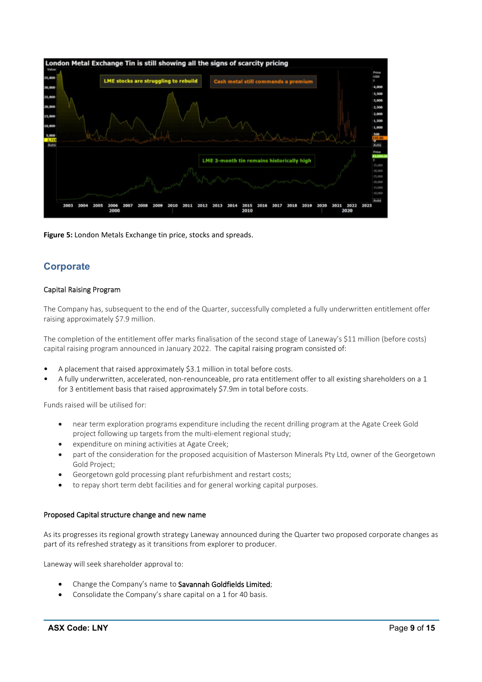

**Figure 5:** London Metals Exchange tin price, stocks and spreads.

## **Corporate**

#### Capital Raising Program

The Company has, subsequent to the end of the Quarter, successfully completed a fully underwritten entitlement offer raising approximately \$7.9 million.

The completion of the entitlement offer marks finalisation of the second stage of Laneway's \$11 million (before costs) capital raising program announced in January 2022. The capital raising program consisted of:

- A placement that raised approximately \$3.1 million in total before costs.
- A fully underwritten, accelerated, non-renounceable, pro rata entitlement offer to all existing shareholders on a 1 for 3 entitlement basis that raised approximately \$7.9m in total before costs.

Funds raised will be utilised for:

- near term exploration programs expenditure including the recent drilling program at the Agate Creek Gold project following up targets from the multi-element regional study;
- expenditure on mining activities at Agate Creek;
- part of the consideration for the proposed acquisition of Masterson Minerals Pty Ltd, owner of the Georgetown Gold Project;
- Georgetown gold processing plant refurbishment and restart costs;
- to repay short term debt facilities and for general working capital purposes.

#### Proposed Capital structure change and new name

As its progresses its regional growth strategy Laneway announced during the Quarter two proposed corporate changes as part of its refreshed strategy as it transitions from explorer to producer.

Laneway will seek shareholder approval to:

- Change the Company's name to Savannah Goldfields Limited;
- Consolidate the Company's share capital on a 1 for 40 basis.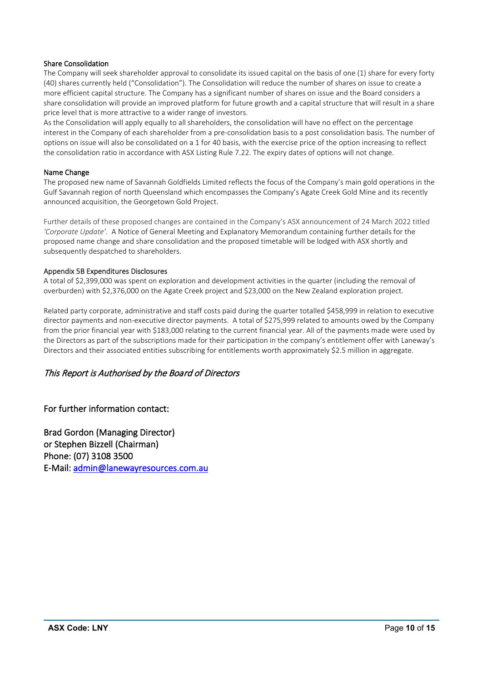#### Share Consolidation

The Company will seek shareholder approval to consolidate its issued capital on the basis of one (1) share for every forty (40) shares currently held ("Consolidation"). The Consolidation will reduce the number of shares on issue to create a more efficient capital structure. The Company has a significant number of shares on issue and the Board considers a share consolidation will provide an improved platform for future growth and a capital structure that will result in a share price level that is more attractive to a wider range of investors.

As the Consolidation will apply equally to all shareholders, the consolidation will have no effect on the percentage interest in the Company of each shareholder from a pre-consolidation basis to a post consolidation basis. The number of options on issue will also be consolidated on a 1 for 40 basis, with the exercise price of the option increasing to reflect the consolidation ratio in accordance with ASX Listing Rule 7.22. The expiry dates of options will not change.

#### Name Change

The proposed new name of Savannah Goldfields Limited reflects the focus of the Company's main gold operations in the Gulf Savannah region of north Queensland which encompasses the Company's Agate Creek Gold Mine and its recently announced acquisition, the Georgetown Gold Project.

Further details of these proposed changes are contained in the Company's ASX announcement of 24 March 2022 titled *'Corporate Update'.* A Notice of General Meeting and Explanatory Memorandum containing further details for the proposed name change and share consolidation and the proposed timetable will be lodged with ASX shortly and subsequently despatched to shareholders.

#### Appendix 5B Expenditures Disclosures

A total of \$2,399,000 was spent on exploration and development activities in the quarter (including the removal of overburden) with \$2,376,000 on the Agate Creek project and \$23,000 on the New Zealand exploration project.

Related party corporate, administrative and staff costs paid during the quarter totalled \$458,999 in relation to executive director payments and non-executive director payments. A total of \$275,999 related to amounts owed by the Company from the prior financial year with \$183,000 relating to the current financial year. All of the payments made were used by the Directors as part of the subscriptions made for their participation in the company's entitlement offer with Laneway's Directors and their associated entities subscribing for entitlements worth approximately \$2.5 million in aggregate.

#### This Report is Authorised by the Board of Directors

For further information contact:

Brad Gordon (Managing Director) or Stephen Bizzell (Chairman) Phone: (07) 3108 3500 E-Mail: [admin@lanewayresources.com.au](mailto:admin@lanewayresources.com.au)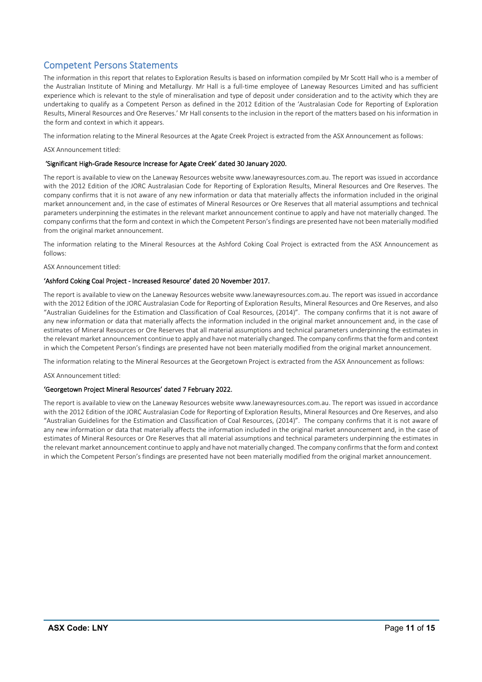## Competent Persons Statements

The information in this report that relates to Exploration Results is based on information compiled by Mr Scott Hall who is a member of the Australian Institute of Mining and Metallurgy. Mr Hall is a full-time employee of Laneway Resources Limited and has sufficient experience which is relevant to the style of mineralisation and type of deposit under consideration and to the activity which they are undertaking to qualify as a Competent Person as defined in the 2012 Edition of the 'Australasian Code for Reporting of Exploration Results, Mineral Resources and Ore Reserves.' Mr Hall consents to the inclusion in the report of the matters based on his information in the form and context in which it appears.

The information relating to the Mineral Resources at the Agate Creek Project is extracted from the ASX Announcement as follows:

ASX Announcement titled:

#### 'Significant High-Grade Resource Increase for Agate Creek' dated 30 January 2020.

The report is available to view on the Laneway Resources website www.lanewayresources.com.au. The report was issued in accordance with the 2012 Edition of the JORC Australasian Code for Reporting of Exploration Results, Mineral Resources and Ore Reserves. The company confirms that it is not aware of any new information or data that materially affects the information included in the original market announcement and, in the case of estimates of Mineral Resources or Ore Reserves that all material assumptions and technical parameters underpinning the estimates in the relevant market announcement continue to apply and have not materially changed. The company confirms that the form and context in which the Competent Person's findings are presented have not been materially modified from the original market announcement.

The information relating to the Mineral Resources at the Ashford Coking Coal Project is extracted from the ASX Announcement as follows:

ASX Announcement titled:

#### 'Ashford Coking Coal Project - Increased Resource' dated 20 November 2017.

The report is available to view on the Laneway Resources website www.lanewayresources.com.au. The report was issued in accordance with the 2012 Edition of the JORC Australasian Code for Reporting of Exploration Results, Mineral Resources and Ore Reserves, and also "Australian Guidelines for the Estimation and Classification of Coal Resources, (2014)". The company confirms that it is not aware of any new information or data that materially affects the information included in the original market announcement and, in the case of estimates of Mineral Resources or Ore Reserves that all material assumptions and technical parameters underpinning the estimates in the relevant market announcement continue to apply and have not materially changed. The company confirms that the form and context in which the Competent Person's findings are presented have not been materially modified from the original market announcement.

The information relating to the Mineral Resources at the Georgetown Project is extracted from the ASX Announcement as follows:

ASX Announcement titled:

#### 'Georgetown Project Mineral Resources' dated 7 February 2022.

The report is available to view on the Laneway Resources website www.lanewayresources.com.au. The report was issued in accordance with the 2012 Edition of the JORC Australasian Code for Reporting of Exploration Results, Mineral Resources and Ore Reserves, and also "Australian Guidelines for the Estimation and Classification of Coal Resources, (2014)". The company confirms that it is not aware of any new information or data that materially affects the information included in the original market announcement and, in the case of estimates of Mineral Resources or Ore Reserves that all material assumptions and technical parameters underpinning the estimates in the relevant market announcement continue to apply and have not materially changed. The company confirms that the form and context in which the Competent Person's findings are presented have not been materially modified from the original market announcement.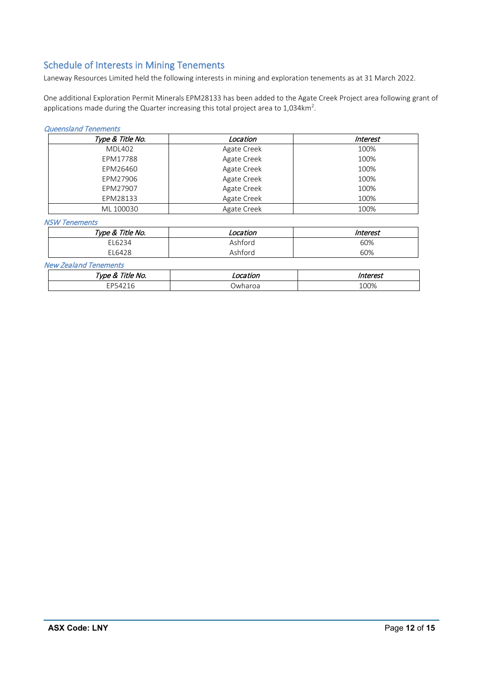## Schedule of Interests in Mining Tenements

Laneway Resources Limited held the following interests in mining and exploration tenements as at 31 March 2022.

One additional Exploration Permit Minerals EPM28133 has been added to the Agate Creek Project area following grant of applications made during the Quarter increasing this total project area to  $1,034 \text{km}^2$ .

#### Queensland Tenements

| Type & Title No. | Location    | <i><b>Interest</b></i> |
|------------------|-------------|------------------------|
| <b>MDL402</b>    | Agate Creek | 100%                   |
| EPM17788         | Agate Creek | 100%                   |
| EPM26460         | Agate Creek | 100%                   |
| EPM27906         | Agate Creek | 100%                   |
| EPM27907         | Agate Creek | 100%                   |
| EPM28133         | Agate Creek | 100%                   |
| ML 100030        | Agate Creek | 100%                   |

NSW Tenements

| Type & Title No. | _ocation | Interest |
|------------------|----------|----------|
| EL6234           | Ashford  | 60%      |
| EL6428           | Ashford  | 60%      |

New Zealand Tenements

| itle<br><i>vne</i><br>NO.<br>$\overline{\phantom{a}}$ | .<br>atlor<br>.UL | $ -$<br>1111C1 C31 |  |  |
|-------------------------------------------------------|-------------------|--------------------|--|--|
| חר־<br>$\sim$<br>-<br>`¬ ⁄⊥                           | Jwharoa           | 100%               |  |  |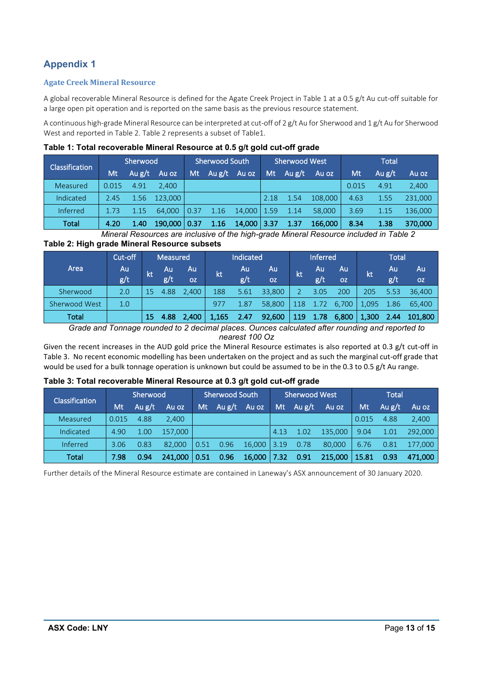## **Appendix 1**

#### **Agate Creek Mineral Resource**

A global recoverable Mineral Resource is defined for the Agate Creek Project in Table 1 at a 0.5 g/t Au cut-off suitable for a large open pit operation and is reported on the same basis as the previous resource statement.

A continuous high-grade Mineral Resource can be interpreted at cut-off of 2 g/t Au for Sherwood and 1 g/t Au for Sherwood West and reported in Table 2. Table 2 represents a subset of Table1.

| Classification |       | Sherwood |                | <b>Sherwood South</b> |                |                 | <b>Sherwood West</b> |                   |         | Total |          |         |
|----------------|-------|----------|----------------|-----------------------|----------------|-----------------|----------------------|-------------------|---------|-------|----------|---------|
|                | Mt    | Au $g/t$ | Au oz          |                       | Mt Aug/t Au oz |                 |                      | Mt $Au g/t$ Au oz |         | Mt    | Au $g/t$ | Au oz   |
| Measured       | 0.015 | 4.91     | 2.400          |                       |                |                 |                      |                   |         | 0.015 | 4.91     | 2,400   |
| Indicated      | 2.45  |          | $1.56$ 123,000 |                       |                |                 | 2.18                 | 1.54              | 108,000 | 4.63  | 1.55     | 231.000 |
| Inferred       | 1.73  | 1.15     | 64.000         | 0.37                  | 1.16           | $14,000$   1.59 |                      | 1.14              | 58,000  | 3.69  | 1.15     | 136.000 |
| Total          | 4.20  | 1.40     | 190,000   0.37 |                       | 1.16           | 14,000 3.37     |                      | 1.37              | 166,000 | 8.34  | 1.38     | 370,000 |

*Mineral Resources are inclusive of the high-grade Mineral Resource included in Table 2* **Table 2: High grade Mineral Resource subsets** 

| Cut-off              |     | Measured |      |           | Indicated |      | <b>Inferred</b> |     | <b>Total</b> |           |       |      |           |
|----------------------|-----|----------|------|-----------|-----------|------|-----------------|-----|--------------|-----------|-------|------|-----------|
| Area                 | Au  | kt       | Au   | Au        | ľkt       | Au   | Au              | kt  | Au           | Au        | kt    | Au   | Au        |
|                      | g/t |          | g/t  | <b>OZ</b> |           | g/t  | <b>OZ</b>       |     | g/t          | <b>OZ</b> |       | g/t  | <b>OZ</b> |
| Sherwood             | 2.0 | 15       | 4.88 | 2.400     | 188       | 5.61 | 33,800          |     | 3.05         | 200       | 205   | 5.53 | 36,400    |
| <b>Sherwood West</b> | 1.0 |          |      |           | 977       | 1.87 | 58,800          | 118 | 1.72         | 6,700     | 1,095 | 1.86 | 65.400    |
| Total                |     | 15       | 4.88 | 2,400     | 1,165     | 2.47 | 92,600          | 119 | 1.78         | 6,800     | 1,300 | 2.44 | 101,800   |

*Grade and Tonnage rounded to 2 decimal places. Ounces calculated after rounding and reported to* 

*nearest 100 Oz*

Given the recent increases in the AUD gold price the Mineral Resource estimates is also reported at 0.3 g/t cut-off in Table 3. No recent economic modelling has been undertaken on the project and as such the marginal cut-off grade that would be used for a bulk tonnage operation is unknown but could be assumed to be in the 0.3 to 0.5 g/t Au range.

| <b>Classification</b> | Sherwood |          |         | <b>Sherwood South</b> |        |        |       | <b>Sherwood West</b> |         | <b>Total</b> |          |         |
|-----------------------|----------|----------|---------|-----------------------|--------|--------|-------|----------------------|---------|--------------|----------|---------|
|                       | Mt       | Au $g/t$ | Au oz   | Mt                    | Au g/t | Au oz  | Mt \  | Au $g/t$             | Au oz   | Mt           | Au $g/t$ | Au oz   |
| Measured              | 0.015    | 4.88     | 2.400   |                       |        |        |       |                      |         | 0.015        | 4.88     | 2,400   |
| Indicated             | 4.90     | 1.00     | 157.000 |                       |        |        | 4.13  | 1.02                 | 135,000 | 9.04         | -1.01    | 292.000 |
| Inferred              | 3.06     | 0.83     | 82,000  | 0.51                  | 0.96   | 16,000 | 13.19 | 0.78                 | 80,000  | 6.76         | 0.81     | 177,000 |
| Total                 | 7.98     | 0.94     | 241.000 | 0.51                  | 0.96   | 16,000 | 7.32  | 0.91                 | 215,000 | 15.81        | 0.93     | 471,000 |

Further details of the Mineral Resource estimate are contained in Laneway's ASX announcement of 30 January 2020.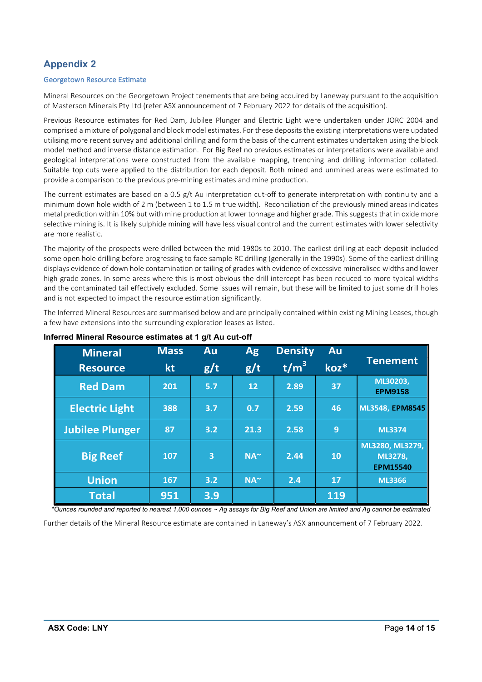## **Appendix 2**

#### Georgetown Resource Estimate

Mineral Resources on the Georgetown Project tenements that are being acquired by Laneway pursuant to the acquisition of Masterson Minerals Pty Ltd (refer ASX announcement of 7 February 2022 for details of the acquisition).

Previous Resource estimates for Red Dam, Jubilee Plunger and Electric Light were undertaken under JORC 2004 and comprised a mixture of polygonal and block model estimates. For these deposits the existing interpretations were updated utilising more recent survey and additional drilling and form the basis of the current estimates undertaken using the block model method and inverse distance estimation. For Big Reef no previous estimates or interpretations were available and geological interpretations were constructed from the available mapping, trenching and drilling information collated. Suitable top cuts were applied to the distribution for each deposit. Both mined and unmined areas were estimated to provide a comparison to the previous pre-mining estimates and mine production.

The current estimates are based on a 0.5 g/t Au interpretation cut-off to generate interpretation with continuity and a minimum down hole width of 2 m (between 1 to 1.5 m true width). Reconciliation of the previously mined areas indicates metal prediction within 10% but with mine production at lower tonnage and higher grade. This suggests that in oxide more selective mining is. It is likely sulphide mining will have less visual control and the current estimates with lower selectivity are more realistic.

The majority of the prospects were drilled between the mid-1980s to 2010. The earliest drilling at each deposit included some open hole drilling before progressing to face sample RC drilling (generally in the 1990s). Some of the earliest drilling displays evidence of down hole contamination or tailing of grades with evidence of excessive mineralised widths and lower high-grade zones. In some areas where this is most obvious the drill intercept has been reduced to more typical widths and the contaminated tail effectively excluded. Some issues will remain, but these will be limited to just some drill holes and is not expected to impact the resource estimation significantly.

The Inferred Mineral Resources are summarised below and are principally contained within existing Mining Leases, though a few have extensions into the surrounding exploration leases as listed.

| <b>Mineral</b>         | <b>Mass</b> | <b>Au</b>      | <b>Ag</b>   | <b>Density</b>   | Au        |                                               |
|------------------------|-------------|----------------|-------------|------------------|-----------|-----------------------------------------------|
| <b>Resource</b>        | kt          | g/t            | g/t         | t/m <sup>3</sup> | koz*      | <b>Tenement</b>                               |
| <b>Red Dam</b>         | 201         | 5.7            | 12          | 2.89             | 37        | ML30203,<br><b>EPM9158</b>                    |
| <b>Electric Light</b>  | 388         | 3.7            | 0.7         | 2.59             | 46        | ML3548, EPM8545                               |
| <b>Jubilee Plunger</b> | 87          | 3.2            | 21.3        | 2.58             | 9         | <b>ML3374</b>                                 |
| <b>Big Reef</b>        | 107         | $\overline{3}$ | $NA^{\sim}$ | 2.44             | <b>10</b> | ML3280, ML3279,<br>ML3278,<br><b>EPM15540</b> |
| <b>Union</b>           | 167         | 3.2            | $NA^{\sim}$ | 2.4              | 17        | <b>ML3366</b>                                 |
| <b>Total</b>           | 951         | 3.9            |             |                  | 119       |                                               |

#### **Inferred Mineral Resource estimates at 1 g/t Au cut-off**

*\*Ounces rounded and reported to nearest 1,000 ounces ~ Ag assays for Big Reef and Union are limited and Ag cannot be estimated*

Further details of the Mineral Resource estimate are contained in Laneway's ASX announcement of 7 February 2022.